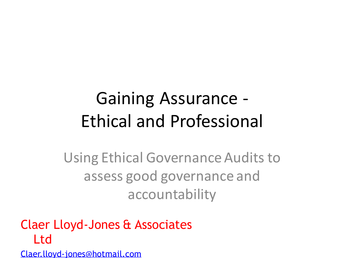### Gaining Assurance - Ethical and Professional

Using Ethical Governance Audits to assess good governance and accountability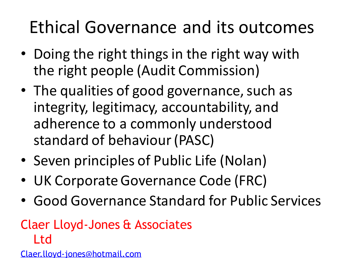### Ethical Governance and its outcomes

- Doing the right things in the right way with the right people (Audit Commission)
- The qualities of good governance, such as integrity, legitimacy, accountability, and adherence to a commonly understood standard of behaviour (PASC)
- Seven principles of Public Life (Nolan)
- UK Corporate Governance Code (FRC)
- Good Governance Standard for Public Services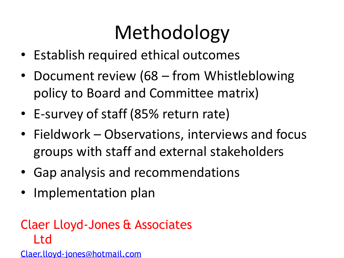# Methodology

- Establish required ethical outcomes
- Document review (68 from Whistleblowing policy to Board and Committee matrix)
- E-survey of staff (85% return rate)
- Fieldwork Observations, interviews and focus groups with staff and external stakeholders
- Gap analysis and recommendations
- Implementation plan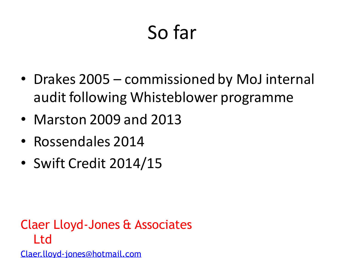# So far

- Drakes 2005 commissioned by MoJ internal audit following Whisteblower programme
- Marston 2009 and 2013
- Rossendales 2014
- Swift Credit 2014/15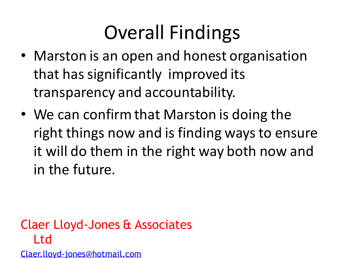## Overall Findings

- Marston is an open and honest organisation that has significantly improved its transparency and accountability.
- We can confirm that Marston is doing the right things now and is finding ways to ensure it will do them in the right way both now and in the future.